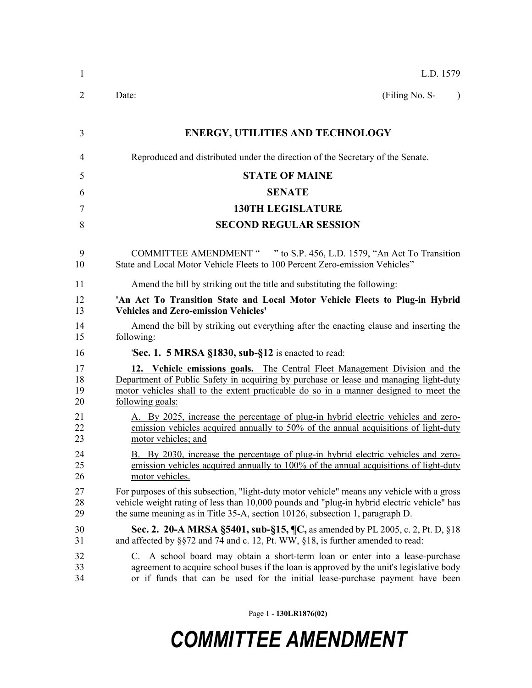| 1                    | L.D. 1579                                                                                                                                                                                                                                                                        |
|----------------------|----------------------------------------------------------------------------------------------------------------------------------------------------------------------------------------------------------------------------------------------------------------------------------|
| 2                    | (Filing No. S-<br>Date:<br>$\lambda$                                                                                                                                                                                                                                             |
| 3                    | <b>ENERGY, UTILITIES AND TECHNOLOGY</b>                                                                                                                                                                                                                                          |
| 4                    | Reproduced and distributed under the direction of the Secretary of the Senate.                                                                                                                                                                                                   |
| 5                    | <b>STATE OF MAINE</b>                                                                                                                                                                                                                                                            |
| 6                    | <b>SENATE</b>                                                                                                                                                                                                                                                                    |
| 7                    | <b>130TH LEGISLATURE</b>                                                                                                                                                                                                                                                         |
| 8                    | <b>SECOND REGULAR SESSION</b>                                                                                                                                                                                                                                                    |
| 9<br>10              | COMMITTEE AMENDMENT " " to S.P. 456, L.D. 1579, "An Act To Transition<br>State and Local Motor Vehicle Fleets to 100 Percent Zero-emission Vehicles"                                                                                                                             |
| 11                   | Amend the bill by striking out the title and substituting the following:                                                                                                                                                                                                         |
| 12<br>13             | 'An Act To Transition State and Local Motor Vehicle Fleets to Plug-in Hybrid<br><b>Vehicles and Zero-emission Vehicles'</b>                                                                                                                                                      |
| 14<br>15             | Amend the bill by striking out everything after the enacting clause and inserting the<br>following:                                                                                                                                                                              |
| 16                   | <b>Sec. 1. 5 MRSA §1830, sub-§12</b> is enacted to read:                                                                                                                                                                                                                         |
| 17<br>18<br>19<br>20 | 12. Vehicle emissions goals. The Central Fleet Management Division and the<br>Department of Public Safety in acquiring by purchase or lease and managing light-duty<br>motor vehicles shall to the extent practicable do so in a manner designed to meet the<br>following goals: |
| 21<br>22<br>23       | A. By 2025, increase the percentage of plug-in hybrid electric vehicles and zero-<br>emission vehicles acquired annually to 50% of the annual acquisitions of light-duty<br>motor vehicles; and                                                                                  |
| 24<br>25<br>26       | B. By 2030, increase the percentage of plug-in hybrid electric vehicles and zero-<br>emission vehicles acquired annually to 100% of the annual acquisitions of light-duty<br>motor vehicles.                                                                                     |
| 27<br>28<br>29       | For purposes of this subsection, "light-duty motor vehicle" means any vehicle with a gross<br>vehicle weight rating of less than 10,000 pounds and "plug-in hybrid electric vehicle" has<br>the same meaning as in Title 35-A, section 10126, subsection 1, paragraph D.         |
| 30<br>31             | Sec. 2. 20-A MRSA §5401, sub-§15, ¶C, as amended by PL 2005, c. 2, Pt. D, §18<br>and affected by §§72 and 74 and c. 12, Pt. WW, §18, is further amended to read:                                                                                                                 |
| 32<br>33<br>34       | C. A school board may obtain a short-term loan or enter into a lease-purchase<br>agreement to acquire school buses if the loan is approved by the unit's legislative body<br>or if funds that can be used for the initial lease-purchase payment have been                       |

Page 1 - **130LR1876(02)**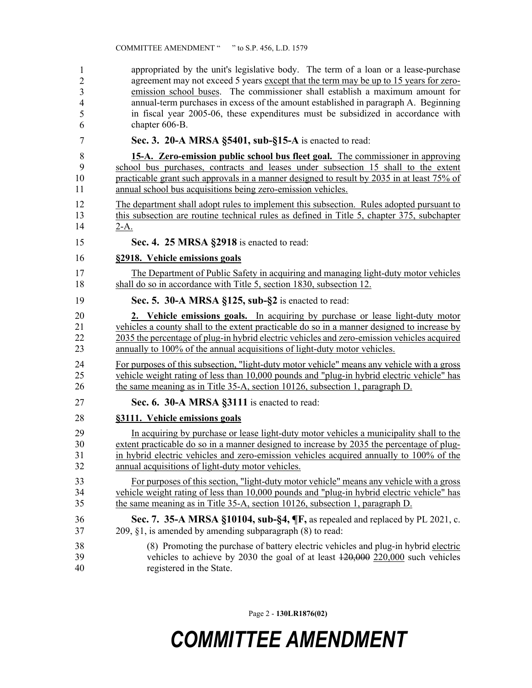appropriated by the unit's legislative body. The term of a loan or a lease-purchase agreement may not exceed 5 years except that the term may be up to 15 years for zeroemission school buses. The commissioner shall establish a maximum amount for 38 annual-term purchases in excess of the amount established in paragraph A. Beginning in fiscal year 2005-06, these expenditures must be subsidized in accordance with chapter 606-B. 1 2 3 4 5 6

7 **Sec. 3. 20-A MRSA §5401, sub-§15-A** is enacted to read:

8 **15-A. Zero-emission public school bus fleet goal.** The commissioner in approving 9 school bus purchases, contracts and leases under subsection 15 shall to the extent 10 practicable grant such approvals in a manner designed to result by 2035 in at least 75% of 11 annual school bus acquisitions being zero-emission vehicles.

12 The department shall adopt rules to implement this subsection. Rules adopted pursuant to 13 this subsection are routine technical rules as defined in Title 5, chapter 375, subchapter 14 2-A.

15 **Sec. 4. 25 MRSA §2918** is enacted to read:

- 16 **§2918. Vehicle emissions goals**
- 17 The Department of Public Safety in acquiring and managing light-duty motor vehicles 18 shall do so in accordance with Title 5, section 1830, subsection 12.

19 **Sec. 5. 30-A MRSA §125, sub-§2** is enacted to read:

20 **2. Vehicle emissions goals.** In acquiring by purchase or lease light-duty motor 21 vehicles a county shall to the extent practicable do so in a manner designed to increase by 22 2035 the percentage of plug-in hybrid electric vehicles and zero-emission vehicles acquired 23 annually to 100% of the annual acquisitions of light-duty motor vehicles.

24 For purposes of this subsection, "light-duty motor vehicle" means any vehicle with a gross 25 vehicle weight rating of less than 10,000 pounds and "plug-in hybrid electric vehicle" has 26 the same meaning as in Title 35-A, section 10126, subsection 1, paragraph D.

27 **Sec. 6. 30-A MRSA §3111** is enacted to read:

#### 28 **§3111. Vehicle emissions goals**

29 In acquiring by purchase or lease light-duty motor vehicles a municipality shall to the 30 extent practicable do so in a manner designed to increase by 2035 the percentage of plug-31 in hybrid electric vehicles and zero-emission vehicles acquired annually to 100% of the 32 annual acquisitions of light-duty motor vehicles.

33 For purposes of this section, "light-duty motor vehicle" means any vehicle with a gross 34 vehicle weight rating of less than 10,000 pounds and "plug-in hybrid electric vehicle" has 35 the same meaning as in Title 35-A, section 10126, subsection 1, paragraph D.

- 36 **Sec. 7. 35-A MRSA §10104, sub-§4, ¶F,** as repealed and replaced by PL 2021, c. 37 209, §1, is amended by amending subparagraph (8) to read:
- 38 (8) Promoting the purchase of battery electric vehicles and plug-in hybrid electric 39 vehicles to achieve by 2030 the goal of at least 120,000 220,000 such vehicles 40 registered in the State.

Page 2 - **130LR1876(02)**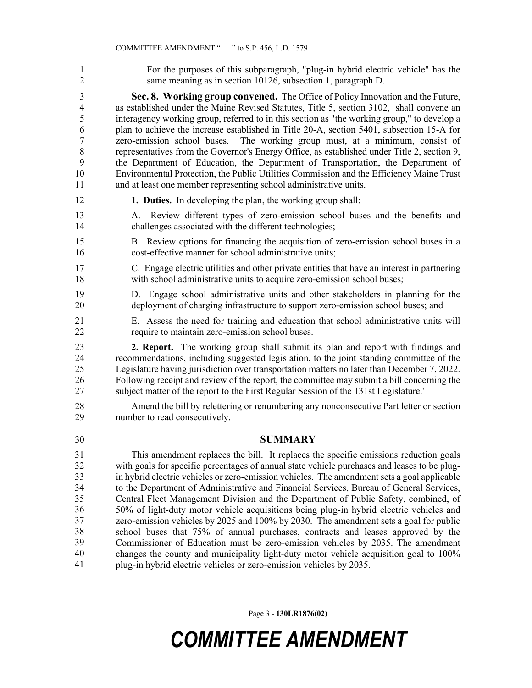1 For the purposes of this subparagraph, "plug-in hybrid electric vehicle" has the 2 same meaning as in section 10126, subsection 1, paragraph D. 3 **Sec. 8. Working group convened.** The Office of Policy Innovation and the Future, 4 as established under the Maine Revised Statutes, Title 5, section 3102, shall convene an 5 interagency working group, referred to in this section as "the working group," to develop a 6 plan to achieve the increase established in Title 20-A, section 5401, subsection 15-A for 7 zero-emission school buses. The working group must, at a minimum, consist of 8 representatives from the Governor's Energy Office, as established under Title 2, section 9, 9 the Department of Education, the Department of Transportation, the Department of 10 Environmental Protection, the Public Utilities Commission and the Efficiency Maine Trust 11 and at least one member representing school administrative units. 12 **1. Duties.** In developing the plan, the working group shall: 13 A. Review different types of zero-emission school buses and the benefits and 14 challenges associated with the different technologies; 15 B. Review options for financing the acquisition of zero-emission school buses in a 16 cost-effective manner for school administrative units; 17 C. Engage electric utilities and other private entities that have an interest in partnering 18 with school administrative units to acquire zero-emission school buses; 19 D. Engage school administrative units and other stakeholders in planning for the 20 deployment of charging infrastructure to support zero-emission school buses; and 21 E. Assess the need for training and education that school administrative units will 22 require to maintain zero-emission school buses. 23 **2. Report.** The working group shall submit its plan and report with findings and 24 recommendations, including suggested legislation, to the joint standing committee of the 25 Legislature having jurisdiction over transportation matters no later than December 7, 2022. 26 Following receipt and review of the report, the committee may submit a bill concerning the 27 subject matter of the report to the First Regular Session of the 131st Legislature.' 28 Amend the bill by relettering or renumbering any nonconsecutive Part letter or section 29 number to read consecutively. 30 **SUMMARY** This amendment replaces the bill. It replaces the specific emissions reduction goals with goals for specific percentages of annual state vehicle purchases and leases to be plugin hybrid electric vehicles or zero-emission vehicles. The amendment sets a goal applicable to the Department of Administrative and Financial Services, Bureau of General Services, 35 Central Fleet Management Division and the Department of Public Safety, combined, of 36 50% of light-duty motor vehicle acquisitions being plug-in hybrid electric vehicles and zero-emission vehicles by 2025 and 100% by 2030. The amendment sets a goal for public school buses that 75% of annual purchases, contracts and leases approved by the Commissioner of Education must be zero-emission vehicles by 2035. The amendment changes the county and municipality light-duty motor vehicle acquisition goal to 100% 41 plug-in hybrid electric vehicles or zero-emission vehicles by 2035. 31 32 33 34 35 36 37 38 39 40 41

Page 3 - **130LR1876(02)**